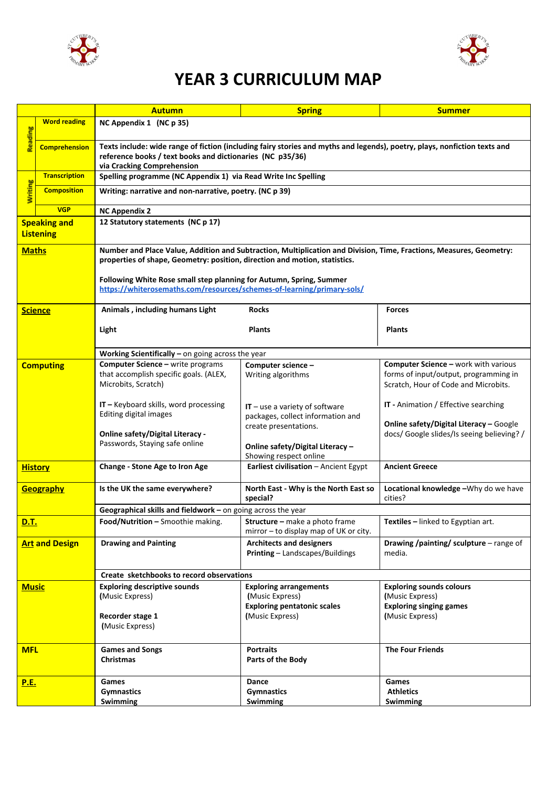



## **YEAR 3 CURRICULUM MAP**

|                                         |                      | <b>Autumn</b>                                                                                                                                                                                                        | <b>Spring</b>                                                         | <b>Summer</b>                                                                                |  |  |
|-----------------------------------------|----------------------|----------------------------------------------------------------------------------------------------------------------------------------------------------------------------------------------------------------------|-----------------------------------------------------------------------|----------------------------------------------------------------------------------------------|--|--|
| <b>Suipeat</b>                          | <b>Word reading</b>  | NC Appendix 1 (NC p 35)                                                                                                                                                                                              |                                                                       |                                                                                              |  |  |
|                                         | <b>Comprehension</b> | Texts include: wide range of fiction (including fairy stories and myths and legends), poetry, plays, nonfiction texts and<br>reference books / text books and dictionaries (NC p35/36)<br>via Cracking Comprehension |                                                                       |                                                                                              |  |  |
|                                         | <b>Transcription</b> | Spelling programme (NC Appendix 1) via Read Write Inc Spelling                                                                                                                                                       |                                                                       |                                                                                              |  |  |
| <b>Writing</b>                          | <b>Composition</b>   | Writing: narrative and non-narrative, poetry. (NC p 39)                                                                                                                                                              |                                                                       |                                                                                              |  |  |
|                                         | <b>VGP</b>           | <b>NC Appendix 2</b>                                                                                                                                                                                                 |                                                                       |                                                                                              |  |  |
| <b>Speaking and</b><br><b>Listening</b> |                      | 12 Statutory statements (NC p 17)                                                                                                                                                                                    |                                                                       |                                                                                              |  |  |
| <b>Maths</b>                            |                      | Number and Place Value, Addition and Subtraction, Multiplication and Division, Time, Fractions, Measures, Geometry:<br>properties of shape, Geometry: position, direction and motion, statistics.                    |                                                                       |                                                                                              |  |  |
|                                         |                      | Following White Rose small step planning for Autumn, Spring, Summer<br>https://whiterosemaths.com/resources/schemes-of-learning/primary-sols/                                                                        |                                                                       |                                                                                              |  |  |
|                                         | <b>Science</b>       | Animals, including humans Light                                                                                                                                                                                      | <b>Rocks</b>                                                          | <b>Forces</b>                                                                                |  |  |
|                                         |                      | Light                                                                                                                                                                                                                | <b>Plants</b>                                                         | <b>Plants</b>                                                                                |  |  |
|                                         |                      | Working Scientifically $-$ on going across the year                                                                                                                                                                  |                                                                       |                                                                                              |  |  |
| <b>Computing</b>                        |                      | <b>Computer Science - write programs</b><br>that accomplish specific goals. (ALEX,                                                                                                                                   | Computer science -<br>Writing algorithms                              | Computer Science - work with various<br>forms of input/output, programming in                |  |  |
|                                         |                      | Microbits, Scratch)                                                                                                                                                                                                  |                                                                       | Scratch, Hour of Code and Microbits.                                                         |  |  |
|                                         |                      | $IT - Keyboard skills$ , word processing<br>Editing digital images                                                                                                                                                   | $IT$ – use a variety of software<br>packages, collect information and | <b>IT</b> - Animation / Effective searching                                                  |  |  |
|                                         |                      | <b>Online safety/Digital Literacy -</b>                                                                                                                                                                              | create presentations.                                                 | <b>Online safety/Digital Literacy - Google</b><br>docs/ Google slides/Is seeing believing? / |  |  |
|                                         |                      | Passwords, Staying safe online                                                                                                                                                                                       | Online safety/Digital Literacy -<br>Showing respect online            |                                                                                              |  |  |
| <b>History</b>                          |                      | Change - Stone Age to Iron Age                                                                                                                                                                                       | Earliest civilisation - Ancient Egypt                                 | <b>Ancient Greece</b>                                                                        |  |  |
| <b>Geography</b>                        |                      | Is the UK the same everywhere?                                                                                                                                                                                       | North East - Why is the North East so<br>special?                     | Locational knowledge -Why do we have<br>cities?                                              |  |  |
|                                         |                      | Geographical skills and fieldwork - on going across the year                                                                                                                                                         |                                                                       |                                                                                              |  |  |
| <u>D.T.</u>                             |                      | Food/Nutrition - Smoothie making. Structure - make a photo frame                                                                                                                                                     | mirror - to display map of UK or city.                                | Textiles - linked to Egyptian art.                                                           |  |  |
| <b>Art and Design</b>                   |                      | <b>Drawing and Painting</b>                                                                                                                                                                                          | <b>Architects and designers</b><br>Printing - Landscapes/Buildings    | Drawing /painting/ sculpture - range of<br>media.                                            |  |  |
|                                         |                      | Create sketchbooks to record observations                                                                                                                                                                            |                                                                       |                                                                                              |  |  |
| <b>Music</b>                            |                      | <b>Exploring descriptive sounds</b><br>(Music Express)                                                                                                                                                               | <b>Exploring arrangements</b><br>(Music Express)                      | <b>Exploring sounds colours</b><br>(Music Express)                                           |  |  |
|                                         |                      |                                                                                                                                                                                                                      | <b>Exploring pentatonic scales</b>                                    | <b>Exploring singing games</b>                                                               |  |  |
|                                         |                      | Recorder stage 1<br>(Music Express)                                                                                                                                                                                  | (Music Express)                                                       | (Music Express)                                                                              |  |  |
| <b>MFL</b>                              |                      | <b>Games and Songs</b>                                                                                                                                                                                               | <b>Portraits</b>                                                      | <b>The Four Friends</b>                                                                      |  |  |
|                                         |                      | <b>Christmas</b>                                                                                                                                                                                                     | Parts of the Body                                                     |                                                                                              |  |  |
| <u>P.E.</u>                             |                      | <b>Games</b>                                                                                                                                                                                                         | Dance                                                                 | Games                                                                                        |  |  |
|                                         |                      | <b>Gymnastics</b>                                                                                                                                                                                                    | <b>Gymnastics</b>                                                     | <b>Athletics</b>                                                                             |  |  |
|                                         |                      | <b>Swimming</b>                                                                                                                                                                                                      | <b>Swimming</b>                                                       | <b>Swimming</b>                                                                              |  |  |